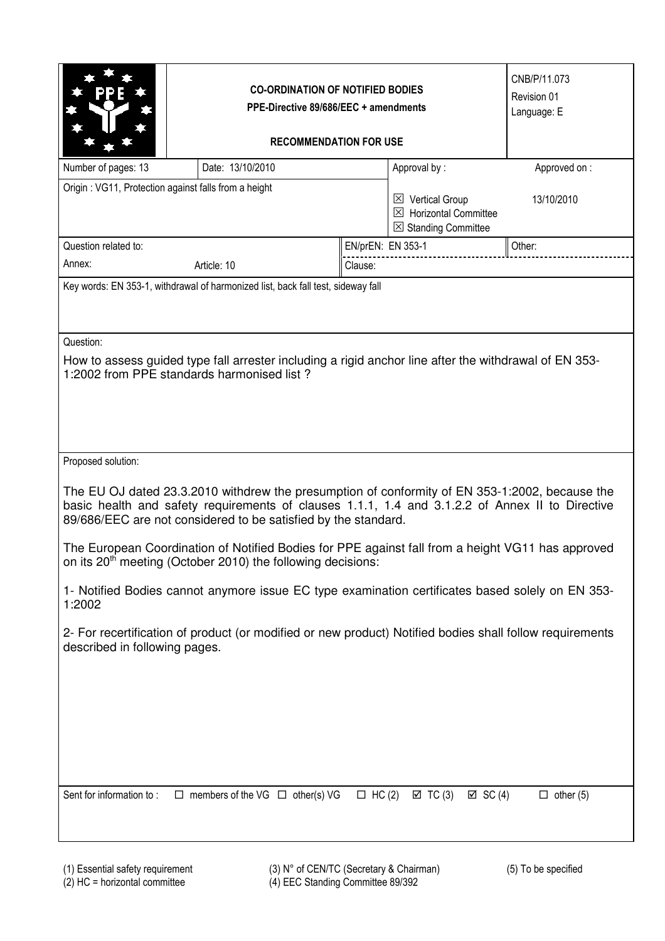|                                                                                                                                                                                                                                                                     | <b>CO-ORDINATION OF NOTIFIED BODIES</b><br>PPE-Directive 89/686/EEC + amendments<br><b>RECOMMENDATION FOR USE</b> |                   |                                                                                                  | CNB/P/11.073<br>Revision 01<br>Language: E |  |  |  |
|---------------------------------------------------------------------------------------------------------------------------------------------------------------------------------------------------------------------------------------------------------------------|-------------------------------------------------------------------------------------------------------------------|-------------------|--------------------------------------------------------------------------------------------------|--------------------------------------------|--|--|--|
| Number of pages: 13                                                                                                                                                                                                                                                 | Date: 13/10/2010                                                                                                  |                   | Approval by:                                                                                     | Approved on:                               |  |  |  |
| Origin: VG11, Protection against falls from a height                                                                                                                                                                                                                |                                                                                                                   |                   | $\boxtimes$ Vertical Group<br>$\boxtimes$ Horizontal Committee<br>$\boxtimes$ Standing Committee | 13/10/2010                                 |  |  |  |
| Question related to:                                                                                                                                                                                                                                                |                                                                                                                   | EN/prEN: EN 353-1 |                                                                                                  | Other:                                     |  |  |  |
| Annex:                                                                                                                                                                                                                                                              | Article: 10                                                                                                       | Clause:           |                                                                                                  |                                            |  |  |  |
| Question:<br>How to assess guided type fall arrester including a rigid anchor line after the withdrawal of EN 353-<br>1:2002 from PPE standards harmonised list?                                                                                                    |                                                                                                                   |                   |                                                                                                  |                                            |  |  |  |
| Proposed solution:                                                                                                                                                                                                                                                  |                                                                                                                   |                   |                                                                                                  |                                            |  |  |  |
| The EU OJ dated 23.3.2010 withdrew the presumption of conformity of EN 353-1:2002, because the<br>basic health and safety requirements of clauses 1.1.1, 1.4 and 3.1.2.2 of Annex II to Directive<br>89/686/EEC are not considered to be satisfied by the standard. |                                                                                                                   |                   |                                                                                                  |                                            |  |  |  |
| The European Coordination of Notified Bodies for PPE against fall from a height VG11 has approved<br>on its 20 <sup>th</sup> meeting (October 2010) the following decisions:                                                                                        |                                                                                                                   |                   |                                                                                                  |                                            |  |  |  |
| 1- Notified Bodies cannot anymore issue EC type examination certificates based solely on EN 353-<br>1:2002                                                                                                                                                          |                                                                                                                   |                   |                                                                                                  |                                            |  |  |  |
| described in following pages.                                                                                                                                                                                                                                       | 2- For recertification of product (or modified or new product) Notified bodies shall follow requirements          |                   |                                                                                                  |                                            |  |  |  |
| Sent for information to:                                                                                                                                                                                                                                            | $\Box$ members of the VG $\Box$ other(s) VG                                                                       | $\Box$ HC (2)     | $\boxtimes$ TC (3)<br>$\boxtimes$ SC (4)                                                         | $\Box$ other (5)                           |  |  |  |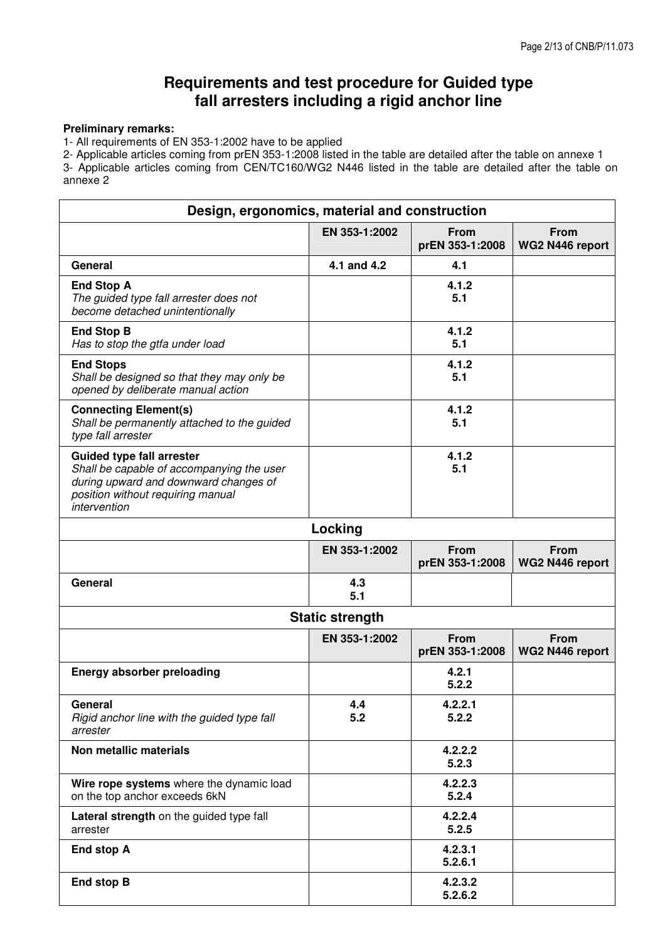# **Requirements and test procedure for Guided type fall arresters including a rigid anchor line**

## **Preliminary remarks:**

1- All requirements of EN 353-1:2002 have to be applied

2- Applicable articles coming from prEN 353-1:2008 listed in the table are detailed after the table on annexe 1 3- Applicable articles coming from CEN/TC160/WG2 N446 listed in the table are detailed after the table on annexe 2

| Design, ergonomics, material and construction                                                                                                                               |                        |                                |                                |  |  |
|-----------------------------------------------------------------------------------------------------------------------------------------------------------------------------|------------------------|--------------------------------|--------------------------------|--|--|
|                                                                                                                                                                             | EN 353-1:2002          | <b>From</b><br>prEN 353-1:2008 | <b>From</b><br>WG2 N446 report |  |  |
| General                                                                                                                                                                     | 4.1 and 4.2            | 4.1                            |                                |  |  |
| <b>End Stop A</b><br>The guided type fall arrester does not<br>become detached unintentionally                                                                              |                        | 4.1.2<br>5.1                   |                                |  |  |
| <b>End Stop B</b><br>Has to stop the gtfa under load                                                                                                                        |                        | 4.1.2<br>5.1                   |                                |  |  |
| <b>End Stops</b><br>Shall be designed so that they may only be<br>opened by deliberate manual action                                                                        |                        | 4.1.2<br>5.1                   |                                |  |  |
| <b>Connecting Element(s)</b><br>Shall be permanently attached to the guided<br>type fall arrester                                                                           |                        | 4.1.2<br>5.1                   |                                |  |  |
| <b>Guided type fall arrester</b><br>Shall be capable of accompanying the user<br>during upward and downward changes of<br>position without requiring manual<br>intervention |                        | 4.1.2<br>5.1                   |                                |  |  |
|                                                                                                                                                                             | Locking                |                                |                                |  |  |
|                                                                                                                                                                             | EN 353-1:2002          | <b>From</b><br>prEN 353-1:2008 | <b>From</b><br>WG2 N446 report |  |  |
| General                                                                                                                                                                     | 4.3<br>5.1             |                                |                                |  |  |
|                                                                                                                                                                             | <b>Static strength</b> |                                |                                |  |  |
|                                                                                                                                                                             | EN 353-1:2002          | <b>From</b><br>prEN 353-1:2008 | <b>From</b><br>WG2 N446 report |  |  |
| <b>Energy absorber preloading</b>                                                                                                                                           |                        | 4.2.1<br>5.2.2                 |                                |  |  |
| General<br>Rigid anchor line with the guided type fall<br>arrester                                                                                                          | 4.4<br>5.2             | 4.2.2.1<br>5.2.2               |                                |  |  |
| Non metallic materials                                                                                                                                                      |                        | 4.2.2.2<br>5.2.3               |                                |  |  |
| Wire rope systems where the dynamic load<br>on the top anchor exceeds 6kN                                                                                                   |                        | 4.2.2.3<br>5.2.4               |                                |  |  |
| Lateral strength on the guided type fall<br>arrester                                                                                                                        |                        | 4.2.2.4<br>5.2.5               |                                |  |  |
| End stop A                                                                                                                                                                  |                        | 4.2.3.1<br>5.2.6.1             |                                |  |  |
| End stop B                                                                                                                                                                  |                        | 4.2.3.2<br>5.2.6.2             |                                |  |  |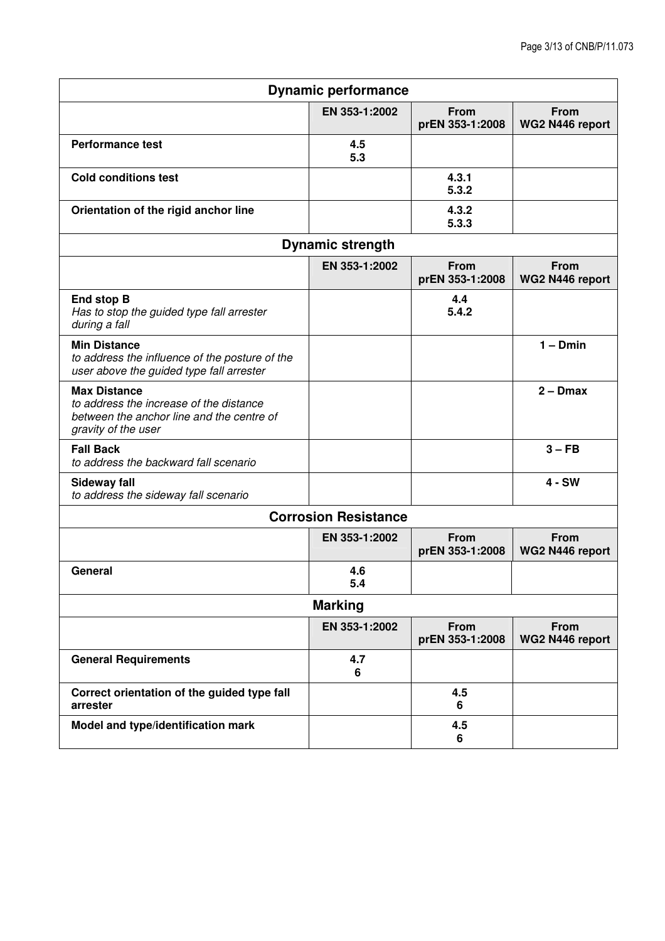| <b>Dynamic performance</b>                                                                                                         |                             |                                |                                |  |  |  |
|------------------------------------------------------------------------------------------------------------------------------------|-----------------------------|--------------------------------|--------------------------------|--|--|--|
|                                                                                                                                    | EN 353-1:2002               | <b>From</b><br>prEN 353-1:2008 | <b>From</b><br>WG2 N446 report |  |  |  |
| <b>Performance test</b>                                                                                                            | 4.5<br>5.3                  |                                |                                |  |  |  |
| <b>Cold conditions test</b>                                                                                                        |                             | 4.3.1<br>5.3.2                 |                                |  |  |  |
| Orientation of the rigid anchor line                                                                                               |                             | 4.3.2<br>5.3.3                 |                                |  |  |  |
| <b>Dynamic strength</b>                                                                                                            |                             |                                |                                |  |  |  |
|                                                                                                                                    | EN 353-1:2002               | <b>From</b><br>prEN 353-1:2008 | <b>From</b><br>WG2 N446 report |  |  |  |
| End stop B<br>Has to stop the guided type fall arrester<br>during a fall                                                           |                             | 4.4<br>5.4.2                   |                                |  |  |  |
| <b>Min Distance</b><br>to address the influence of the posture of the<br>user above the guided type fall arrester                  |                             |                                | $1 - Dmin$                     |  |  |  |
| <b>Max Distance</b><br>to address the increase of the distance<br>between the anchor line and the centre of<br>gravity of the user |                             |                                | $2 - Dmax$                     |  |  |  |
| <b>Fall Back</b><br>to address the backward fall scenario                                                                          |                             |                                | $3 - FB$                       |  |  |  |
| <b>Sideway fall</b><br>to address the sideway fall scenario                                                                        |                             |                                | $4 - SW$                       |  |  |  |
|                                                                                                                                    | <b>Corrosion Resistance</b> |                                |                                |  |  |  |
|                                                                                                                                    | EN 353-1:2002               | From<br>prEN 353-1:2008        | <b>From</b><br>WG2 N446 report |  |  |  |
| General                                                                                                                            | 4.6<br>5.4                  |                                |                                |  |  |  |
| <b>Marking</b>                                                                                                                     |                             |                                |                                |  |  |  |
|                                                                                                                                    | EN 353-1:2002               | From<br>prEN 353-1:2008        | From<br>WG2 N446 report        |  |  |  |
| <b>General Requirements</b>                                                                                                        | 4.7<br>6                    |                                |                                |  |  |  |
| Correct orientation of the guided type fall<br>arrester                                                                            |                             | 4.5<br>6                       |                                |  |  |  |
| Model and type/identification mark                                                                                                 |                             | 4.5<br>6                       |                                |  |  |  |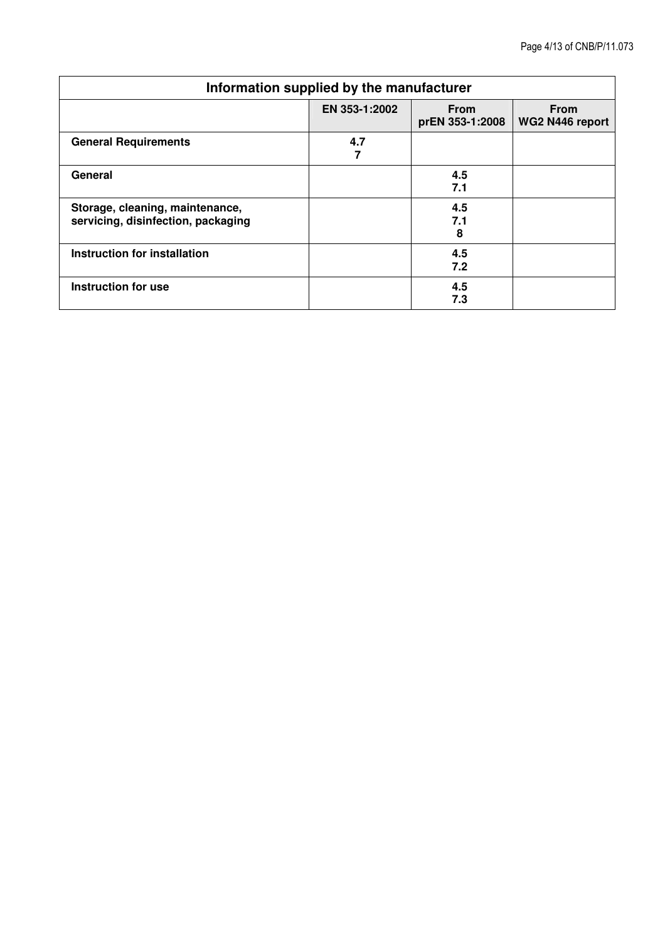| Information supplied by the manufacturer                              |               |                                |                                |  |  |
|-----------------------------------------------------------------------|---------------|--------------------------------|--------------------------------|--|--|
|                                                                       | EN 353-1:2002 | <b>From</b><br>prEN 353-1:2008 | <b>From</b><br>WG2 N446 report |  |  |
| <b>General Requirements</b>                                           | 4.7           |                                |                                |  |  |
| General                                                               |               | 4.5<br>7.1                     |                                |  |  |
| Storage, cleaning, maintenance,<br>servicing, disinfection, packaging |               | 4.5<br>7.1<br>8                |                                |  |  |
| Instruction for installation                                          |               | 4.5<br>7.2                     |                                |  |  |
| Instruction for use                                                   |               | 4.5<br>7.3                     |                                |  |  |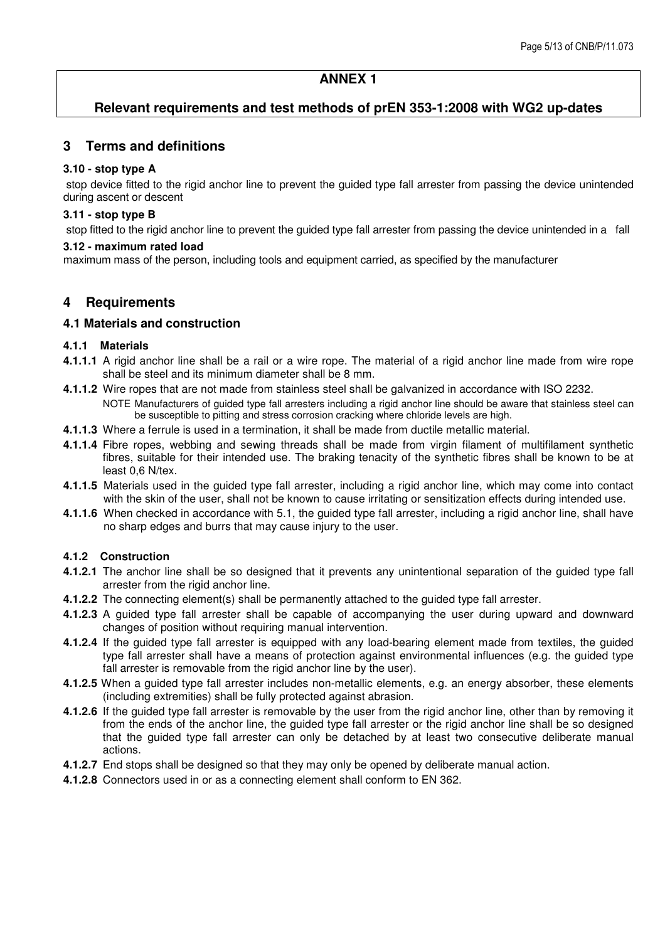## **ANNEX 1**

## **Relevant requirements and test methods of prEN 353-1:2008 with WG2 up-dates**

## **3 Terms and definitions**

#### **3.10 - stop type A**

 stop device fitted to the rigid anchor line to prevent the guided type fall arrester from passing the device unintended during ascent or descent

#### **3.11 - stop type B**

stop fitted to the rigid anchor line to prevent the guided type fall arrester from passing the device unintended in a fall

#### **3.12 - maximum rated load**

maximum mass of the person, including tools and equipment carried, as specified by the manufacturer

## **4 Requirements**

#### **4.1 Materials and construction**

#### **4.1.1 Materials**

- **4.1.1.1** A rigid anchor line shall be a rail or a wire rope. The material of a rigid anchor line made from wire rope shall be steel and its minimum diameter shall be 8 mm.
- **4.1.1.2** Wire ropes that are not made from stainless steel shall be galvanized in accordance with ISO 2232. NOTE Manufacturers of guided type fall arresters including a rigid anchor line should be aware that stainless steel can be susceptible to pitting and stress corrosion cracking where chloride levels are high.
- **4.1.1.3** Where a ferrule is used in a termination, it shall be made from ductile metallic material.
- **4.1.1.4** Fibre ropes, webbing and sewing threads shall be made from virgin filament of multifilament synthetic fibres, suitable for their intended use. The braking tenacity of the synthetic fibres shall be known to be at least 0,6 N/tex.
- **4.1.1.5** Materials used in the guided type fall arrester, including a rigid anchor line, which may come into contact with the skin of the user, shall not be known to cause irritating or sensitization effects during intended use.
- **4.1.1.6** When checked in accordance with 5.1, the guided type fall arrester, including a rigid anchor line, shall have no sharp edges and burrs that may cause injury to the user.

#### **4.1.2 Construction**

- **4.1.2.1** The anchor line shall be so designed that it prevents any unintentional separation of the guided type fall arrester from the rigid anchor line.
- **4.1.2.2** The connecting element(s) shall be permanently attached to the guided type fall arrester.
- **4.1.2.3** A guided type fall arrester shall be capable of accompanying the user during upward and downward changes of position without requiring manual intervention.
- **4.1.2.4** If the guided type fall arrester is equipped with any load-bearing element made from textiles, the guided type fall arrester shall have a means of protection against environmental influences (e.g. the guided type fall arrester is removable from the rigid anchor line by the user).
- **4.1.2.5** When a guided type fall arrester includes non-metallic elements, e.g. an energy absorber, these elements (including extremities) shall be fully protected against abrasion.
- **4.1.2.6** If the guided type fall arrester is removable by the user from the rigid anchor line, other than by removing it from the ends of the anchor line, the guided type fall arrester or the rigid anchor line shall be so designed that the guided type fall arrester can only be detached by at least two consecutive deliberate manual actions.
- **4.1.2.7** End stops shall be designed so that they may only be opened by deliberate manual action.
- **4.1.2.8** Connectors used in or as a connecting element shall conform to EN 362.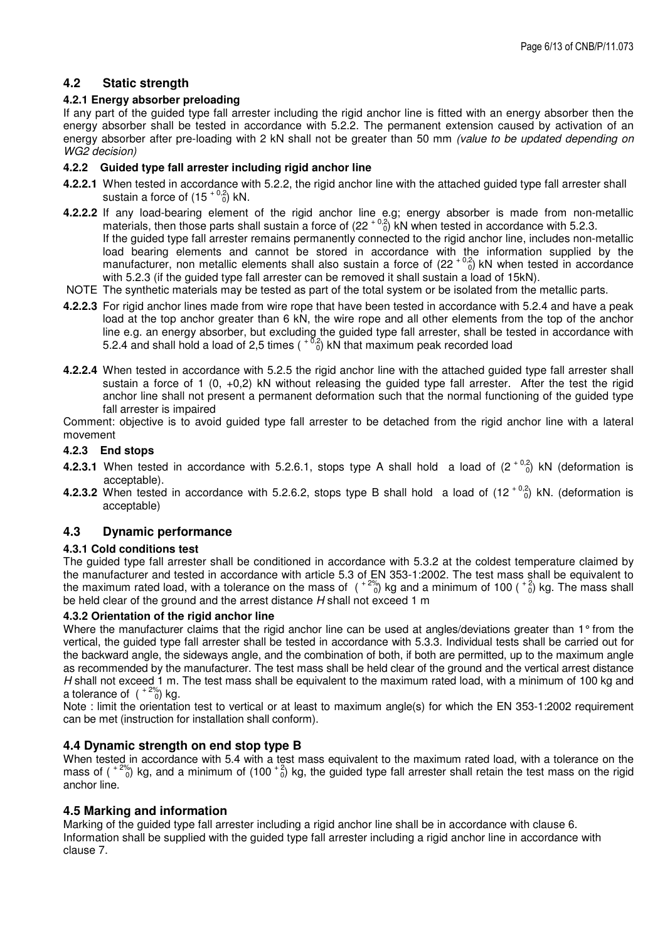## **4.2 Static strength**

#### **4.2.1 Energy absorber preloading**

If any part of the guided type fall arrester including the rigid anchor line is fitted with an energy absorber then the energy absorber shall be tested in accordance with 5.2.2. The permanent extension caused by activation of an energy absorber after pre-loading with 2 kN shall not be greater than 50 mm (value to be updated depending on WG2 decision)

#### **4.2.2 Guided type fall arrester including rigid anchor line**

- **4.2.2.1** When tested in accordance with 5.2.2, the rigid anchor line with the attached guided type fall arrester shall sustain a force of  $(15 + \binom{0.2}{0}$  kN.
- **4.2.2.2** If any load-bearing element of the rigid anchor line e.g; energy absorber is made from non-metallic materials, then those parts shall sustain a force of  $(22<sup>+0,2</sup>)$  kN when tested in accordance with 5.2.3. If the guided type fall arrester remains permanently connected to the rigid anchor line, includes non-metallic load bearing elements and cannot be stored in accordance with the information supplied by the manufacturer, non metallic elements shall also sustain a force of  $(22<sup>+0.2</sup>)$  kN when tested in accordance with 5.2.3 (if the guided type fall arrester can be removed it shall sustain a load of 15kN).
- NOTE The synthetic materials may be tested as part of the total system or be isolated from the metallic parts.
- **4.2.2.3** For rigid anchor lines made from wire rope that have been tested in accordance with 5.2.4 and have a peak load at the top anchor greater than 6 kN, the wire rope and all other elements from the top of the anchor line e.g. an energy absorber, but excluding the guided type fall arrester, shall be tested in accordance with 5.2.4 and shall hold a load of 2,5 times  $(10^{-10.2})$  kN that maximum peak recorded load
- **4.2.2.4** When tested in accordance with 5.2.5 the rigid anchor line with the attached guided type fall arrester shall sustain a force of 1 (0, +0,2) kN without releasing the guided type fall arrester. After the test the rigid anchor line shall not present a permanent deformation such that the normal functioning of the guided type fall arrester is impaired

Comment: objective is to avoid guided type fall arrester to be detached from the rigid anchor line with a lateral movement

#### **4.2.3 End stops**

- **4.2.3.1** When tested in accordance with 5.2.6.1, stops type A shall hold a load of  $(2^{+0.2}_{0.0})$  kN (deformation is acceptable).
- **4.2.3.2** When tested in accordance with 5.2.6.2, stops type B shall hold a load of  $(12<sup>+0.2</sup>)$  kN. (deformation is acceptable)

## **4.3 Dynamic performance**

#### **4.3.1 Cold conditions test**

The guided type fall arrester shall be conditioned in accordance with 5.3.2 at the coldest temperature claimed by the manufacturer and tested in accordance with article 5.3 of EN 353-1:2002. The test mass shall be equivalent to the maximum rated load, with a tolerance on the mass of  $($  +  $^{2\%}_{0})$  kg and a minimum of 100 ( $^{+2}_{0}$ ) kg. The mass shall be held clear of the ground and the arrest distance H shall not exceed 1 m

#### **4.3.2 Orientation of the rigid anchor line**

Where the manufacturer claims that the rigid anchor line can be used at angles/deviations greater than 1° from the vertical, the guided type fall arrester shall be tested in accordance with 5.3.3. Individual tests shall be carried out for the backward angle, the sideways angle, and the combination of both, if both are permitted, up to the maximum angle as recommended by the manufacturer. The test mass shall be held clear of the ground and the vertical arrest distance H shall not exceed 1 m. The test mass shall be equivalent to the maximum rated load, with a minimum of 100 kg and a tolerance of  $({}^{+2\%}_{0})$  kg.

Note : limit the orientation test to vertical or at least to maximum angle(s) for which the EN 353-1:2002 requirement can be met (instruction for installation shall conform).

#### **4.4 Dynamic strength on end stop type B**

When tested in accordance with 5.4 with a test mass equivalent to the maximum rated load, with a tolerance on the mass of ( $12\%$ ) kg, and a minimum of (100 $10$ ) kg, the guided type fall arrester shall retain the test mass on the rigid anchor line.

#### **4.5 Marking and information**

Marking of the guided type fall arrester including a rigid anchor line shall be in accordance with clause 6. Information shall be supplied with the guided type fall arrester including a rigid anchor line in accordance with clause 7.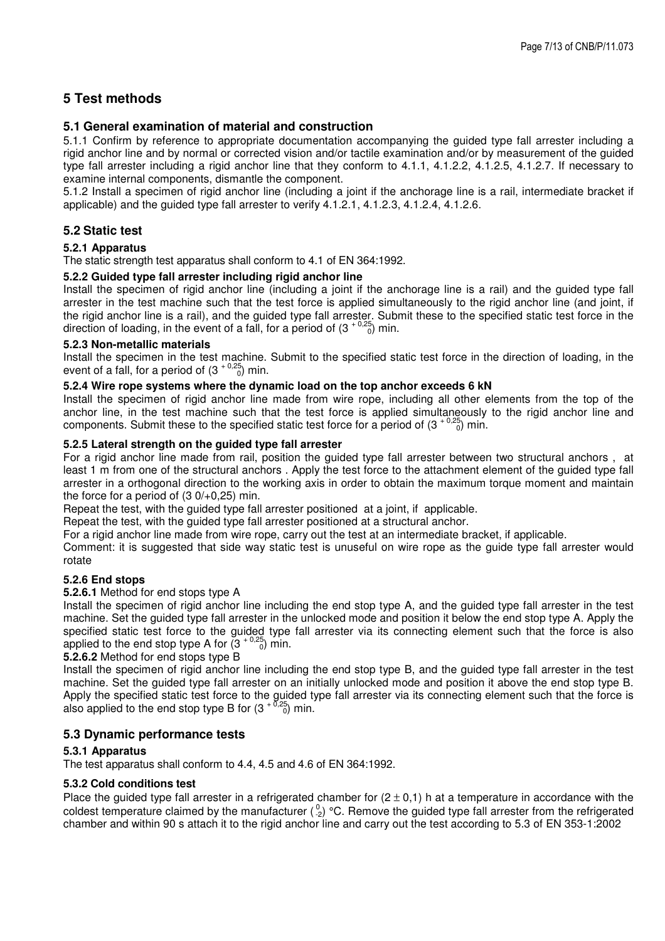## **5 Test methods**

## **5.1 General examination of material and construction**

5.1.1 Confirm by reference to appropriate documentation accompanying the guided type fall arrester including a rigid anchor line and by normal or corrected vision and/or tactile examination and/or by measurement of the guided type fall arrester including a rigid anchor line that they conform to 4.1.1, 4.1.2.2, 4.1.2.5, 4.1.2.7. If necessary to examine internal components, dismantle the component.

5.1.2 Install a specimen of rigid anchor line (including a joint if the anchorage line is a rail, intermediate bracket if applicable) and the guided type fall arrester to verify 4.1.2.1, 4.1.2.3, 4.1.2.4, 4.1.2.6.

## **5.2 Static test**

#### **5.2.1 Apparatus**

The static strength test apparatus shall conform to 4.1 of EN 364:1992.

#### **5.2.2 Guided type fall arrester including rigid anchor line**

Install the specimen of rigid anchor line (including a joint if the anchorage line is a rail) and the guided type fall arrester in the test machine such that the test force is applied simultaneously to the rigid anchor line (and joint, if the rigid anchor line is a rail), and the guided type fall arrester. Submit these to the specified static test force in the direction of loading, in the event of a fall, for a period of  $(3 + 0.25)$  min.

#### **5.2.3 Non-metallic materials**

Install the specimen in the test machine. Submit to the specified static test force in the direction of loading, in the event of a fall, for a period of  $(3 + \binom{0.25}{0})$  min.

#### **5.2.4 Wire rope systems where the dynamic load on the top anchor exceeds 6 kN**

Install the specimen of rigid anchor line made from wire rope, including all other elements from the top of the anchor line, in the test machine such that the test force is applied simultaneously to the rigid anchor line and components. Submit these to the specified static test force for a period of  $(3^{+0.25}_{-0.0})$  min.

#### **5.2.5 Lateral strength on the guided type fall arrester**

For a rigid anchor line made from rail, position the guided type fall arrester between two structural anchors , at least 1 m from one of the structural anchors . Apply the test force to the attachment element of the guided type fall arrester in a orthogonal direction to the working axis in order to obtain the maximum torque moment and maintain the force for a period of  $(3 0/+0.25)$  min.

Repeat the test, with the guided type fall arrester positioned at a joint, if applicable.

Repeat the test, with the guided type fall arrester positioned at a structural anchor.

For a rigid anchor line made from wire rope, carry out the test at an intermediate bracket, if applicable.

Comment: it is suggested that side way static test is unuseful on wire rope as the guide type fall arrester would rotate

#### **5.2.6 End stops**

#### **5.2.6.1** Method for end stops type A

Install the specimen of rigid anchor line including the end stop type A, and the guided type fall arrester in the test machine. Set the guided type fall arrester in the unlocked mode and position it below the end stop type A. Apply the specified static test force to the guided type fall arrester via its connecting element such that the force is also applied to the end stop type A for  $(3 + 0.25)$  min.

#### **5.2.6.2** Method for end stops type B

Install the specimen of rigid anchor line including the end stop type B, and the guided type fall arrester in the test machine. Set the guided type fall arrester on an initially unlocked mode and position it above the end stop type B. Apply the specified static test force to the guided type fall arrester via its connecting element such that the force is also applied to the end stop type B for  $(3 + \frac{0.25}{0})$  min.

#### **5.3 Dynamic performance tests**

#### **5.3.1 Apparatus**

The test apparatus shall conform to 4.4, 4.5 and 4.6 of EN 364:1992.

#### **5.3.2 Cold conditions test**

Place the guided type fall arrester in a refrigerated chamber for  $(2 \pm 0,1)$  h at a temperature in accordance with the coldest temperature claimed by the manufacturer  $(^0.2)$  °C. Remove the guided type fall arrester from the refrigerated chamber and within 90 s attach it to the rigid anchor line and carry out the test according to 5.3 of EN 353-1:2002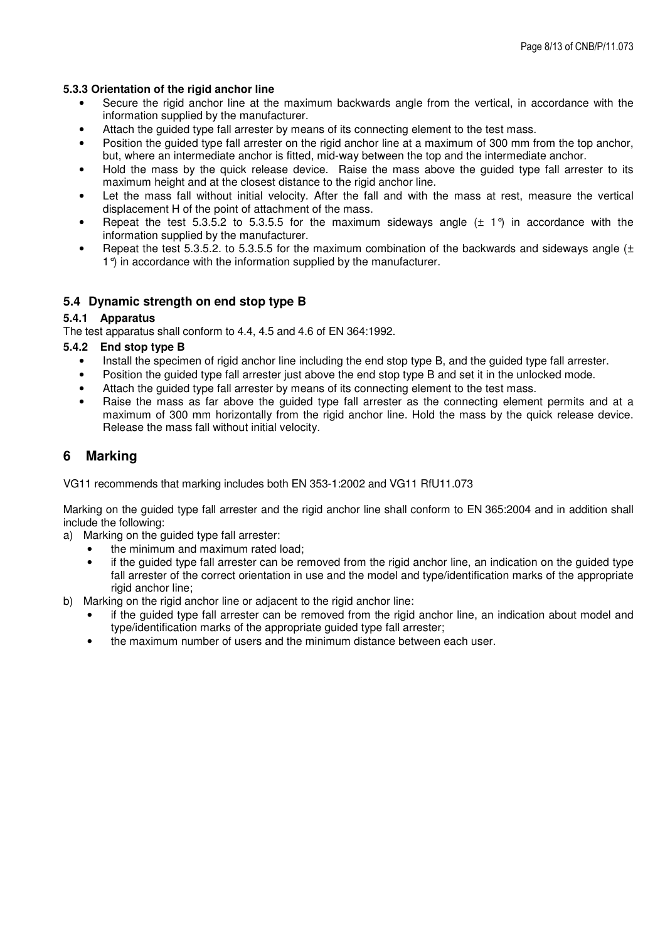#### **5.3.3 Orientation of the rigid anchor line**

- Secure the rigid anchor line at the maximum backwards angle from the vertical, in accordance with the information supplied by the manufacturer.
- Attach the guided type fall arrester by means of its connecting element to the test mass.
- Position the guided type fall arrester on the rigid anchor line at a maximum of 300 mm from the top anchor, but, where an intermediate anchor is fitted, mid-way between the top and the intermediate anchor.
- Hold the mass by the quick release device. Raise the mass above the guided type fall arrester to its maximum height and at the closest distance to the rigid anchor line.
- Let the mass fall without initial velocity. After the fall and with the mass at rest, measure the vertical displacement H of the point of attachment of the mass.
- Repeat the test 5.3.5.2 to 5.3.5.5 for the maximum sideways angle  $(\pm 1)$  in accordance with the information supplied by the manufacturer.
- Repeat the test 5.3.5.2. to 5.3.5.5 for the maximum combination of the backwards and sideways angle  $(±)$ 1<sup>°</sup>) in accordance with the information supplied by the manufacturer.

### **5.4 Dynamic strength on end stop type B**

#### **5.4.1 Apparatus**

The test apparatus shall conform to 4.4, 4.5 and 4.6 of EN 364:1992.

#### **5.4.2 End stop type B**

- Install the specimen of rigid anchor line including the end stop type B, and the guided type fall arrester.
- Position the guided type fall arrester just above the end stop type B and set it in the unlocked mode.
- Attach the guided type fall arrester by means of its connecting element to the test mass.
- Raise the mass as far above the guided type fall arrester as the connecting element permits and at a maximum of 300 mm horizontally from the rigid anchor line. Hold the mass by the quick release device. Release the mass fall without initial velocity.

## **6 Marking**

VG11 recommends that marking includes both EN 353-1:2002 and VG11 RfU11.073

Marking on the guided type fall arrester and the rigid anchor line shall conform to EN 365:2004 and in addition shall include the following:

- a) Marking on the guided type fall arrester:
	- the minimum and maximum rated load;
	- if the quided type fall arrester can be removed from the rigid anchor line, an indication on the guided type fall arrester of the correct orientation in use and the model and type/identification marks of the appropriate rigid anchor line;
- b) Marking on the rigid anchor line or adjacent to the rigid anchor line:
	- if the guided type fall arrester can be removed from the rigid anchor line, an indication about model and type/identification marks of the appropriate guided type fall arrester;
	- the maximum number of users and the minimum distance between each user.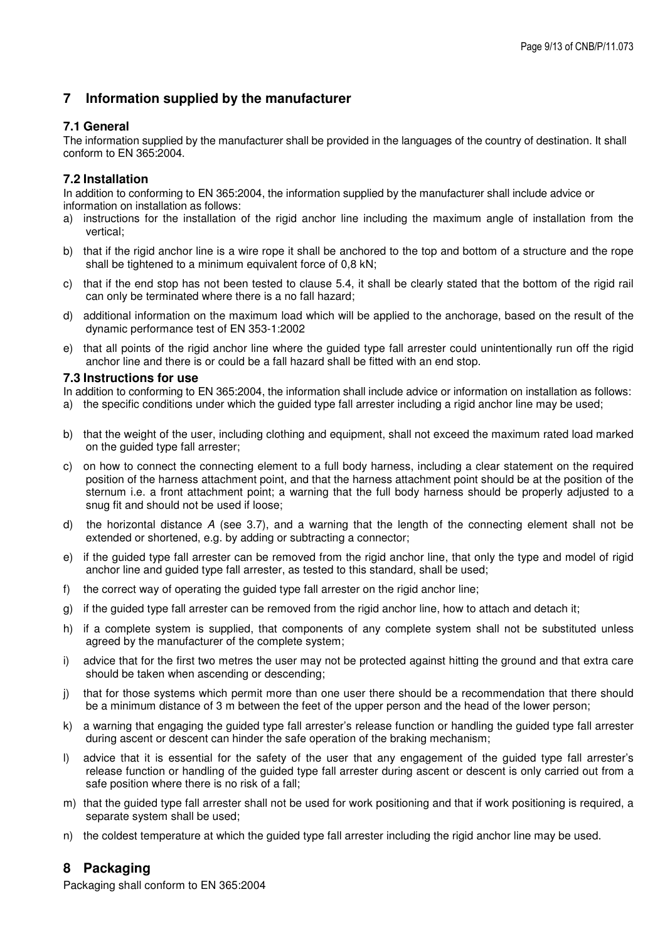## **7 Information supplied by the manufacturer**

## **7.1 General**

The information supplied by the manufacturer shall be provided in the languages of the country of destination. It shall conform to EN 365:2004.

## **7.2 Installation**

In addition to conforming to EN 365:2004, the information supplied by the manufacturer shall include advice or information on installation as follows:

- a) instructions for the installation of the rigid anchor line including the maximum angle of installation from the vertical;
- b) that if the rigid anchor line is a wire rope it shall be anchored to the top and bottom of a structure and the rope shall be tightened to a minimum equivalent force of 0.8 kN;
- c) that if the end stop has not been tested to clause 5.4, it shall be clearly stated that the bottom of the rigid rail can only be terminated where there is a no fall hazard;
- d) additional information on the maximum load which will be applied to the anchorage, based on the result of the dynamic performance test of EN 353-1:2002
- e) that all points of the rigid anchor line where the guided type fall arrester could unintentionally run off the rigid anchor line and there is or could be a fall hazard shall be fitted with an end stop.

#### **7.3 Instructions for use**

In addition to conforming to EN 365:2004, the information shall include advice or information on installation as follows: a) the specific conditions under which the guided type fall arrester including a rigid anchor line may be used;

- b) that the weight of the user, including clothing and equipment, shall not exceed the maximum rated load marked on the guided type fall arrester;
- c) on how to connect the connecting element to a full body harness, including a clear statement on the required position of the harness attachment point, and that the harness attachment point should be at the position of the sternum i.e. a front attachment point; a warning that the full body harness should be properly adjusted to a snug fit and should not be used if loose;
- d) the horizontal distance A (see 3.7), and a warning that the length of the connecting element shall not be extended or shortened, e.g. by adding or subtracting a connector;
- e) if the guided type fall arrester can be removed from the rigid anchor line, that only the type and model of rigid anchor line and guided type fall arrester, as tested to this standard, shall be used;
- f) the correct way of operating the guided type fall arrester on the rigid anchor line;
- g) if the guided type fall arrester can be removed from the rigid anchor line, how to attach and detach it;
- h) if a complete system is supplied, that components of any complete system shall not be substituted unless agreed by the manufacturer of the complete system;
- i) advice that for the first two metres the user may not be protected against hitting the ground and that extra care should be taken when ascending or descending;
- j) that for those systems which permit more than one user there should be a recommendation that there should be a minimum distance of 3 m between the feet of the upper person and the head of the lower person;
- k) a warning that engaging the guided type fall arrester's release function or handling the guided type fall arrester during ascent or descent can hinder the safe operation of the braking mechanism;
- l) advice that it is essential for the safety of the user that any engagement of the guided type fall arrester's release function or handling of the guided type fall arrester during ascent or descent is only carried out from a safe position where there is no risk of a fall;
- m) that the guided type fall arrester shall not be used for work positioning and that if work positioning is required, a separate system shall be used;
- n) the coldest temperature at which the guided type fall arrester including the rigid anchor line may be used.

## **8 Packaging**

Packaging shall conform to EN 365:2004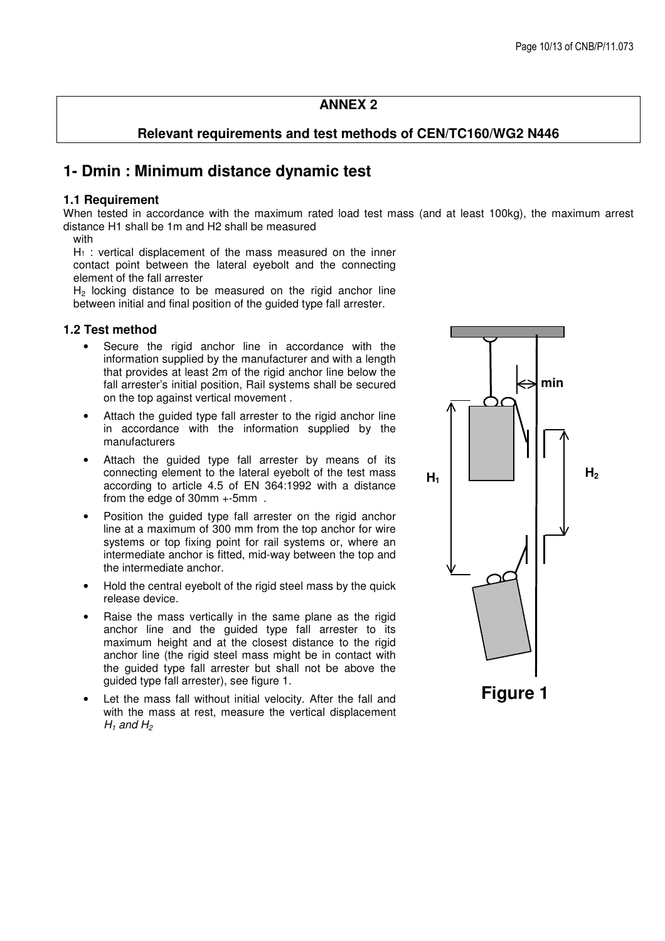## **ANNEX 2**

## **Relevant requirements and test methods of CEN/TC160/WG2 N446**

# **1- Dmin : Minimum distance dynamic test**

#### **1.1 Requirement**

When tested in accordance with the maximum rated load test mass (and at least 100kg), the maximum arrest distance H1 shall be 1m and H2 shall be measured

with

 $H_1$ : vertical displacement of the mass measured on the inner contact point between the lateral eyebolt and the connecting element of the fall arrester

 $H<sub>2</sub>$  locking distance to be measured on the rigid anchor line between initial and final position of the guided type fall arrester.

#### **1.2 Test method**

- Secure the rigid anchor line in accordance with the information supplied by the manufacturer and with a length that provides at least 2m of the rigid anchor line below the fall arrester's initial position, Rail systems shall be secured on the top against vertical movement .
- Attach the guided type fall arrester to the rigid anchor line in accordance with the information supplied by the manufacturers
- Attach the quided type fall arrester by means of its connecting element to the lateral eyebolt of the test mass according to article 4.5 of EN 364:1992 with a distance from the edge of 30mm +-5mm .
- Position the guided type fall arrester on the rigid anchor line at a maximum of 300 mm from the top anchor for wire systems or top fixing point for rail systems or, where an intermediate anchor is fitted, mid-way between the top and the intermediate anchor.
- Hold the central eyebolt of the rigid steel mass by the quick release device.
- Raise the mass vertically in the same plane as the rigid anchor line and the guided type fall arrester to its maximum height and at the closest distance to the rigid anchor line (the rigid steel mass might be in contact with the guided type fall arrester but shall not be above the guided type fall arrester), see figure 1.
- Let the mass fall without initial velocity. After the fall and with the mass at rest, measure the vertical displacement  $H_1$  and  $H_2$

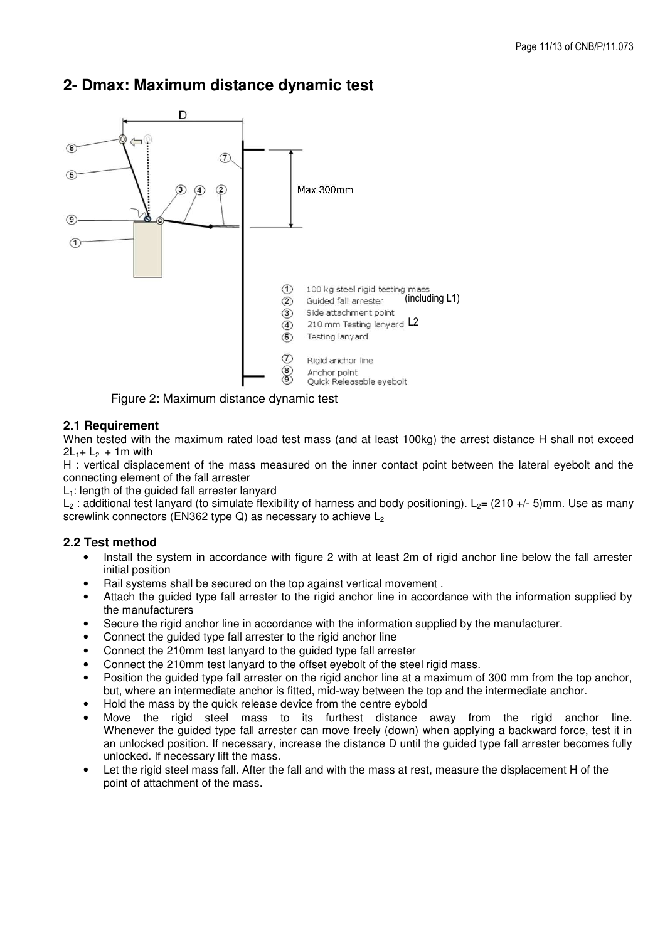

# **2- Dmax: Maximum distance dynamic test**

Figure 2: Maximum distance dynamic test

## **2.1 Requirement**

When tested with the maximum rated load test mass (and at least 100kg) the arrest distance H shall not exceed  $2L_{1} + L_{2} + 1m$  with

H : vertical displacement of the mass measured on the inner contact point between the lateral eyebolt and the connecting element of the fall arrester

 $L_1$ : length of the guided fall arrester lanyard

L<sub>2</sub> : additional test lanyard (to simulate flexibility of harness and body positioning). L<sub>2</sub>= (210 +/- 5)mm. Use as many screwlink connectors (EN362 type Q) as necessary to achieve  $L_2$ 

## **2.2 Test method**

- Install the system in accordance with figure 2 with at least 2m of rigid anchor line below the fall arrester initial position
- Rail systems shall be secured on the top against vertical movement .
- Attach the guided type fall arrester to the rigid anchor line in accordance with the information supplied by the manufacturers
- Secure the rigid anchor line in accordance with the information supplied by the manufacturer.
- Connect the guided type fall arrester to the rigid anchor line
- Connect the 210mm test lanyard to the guided type fall arrester
- Connect the 210mm test lanyard to the offset eyebolt of the steel rigid mass.
- Position the guided type fall arrester on the rigid anchor line at a maximum of 300 mm from the top anchor, but, where an intermediate anchor is fitted, mid-way between the top and the intermediate anchor.
- Hold the mass by the quick release device from the centre eybold
- Move the rigid steel mass to its furthest distance away from the rigid anchor line. Whenever the quided type fall arrester can move freely (down) when applying a backward force, test it in an unlocked position. If necessary, increase the distance D until the guided type fall arrester becomes fully unlocked. If necessary lift the mass.
- Let the rigid steel mass fall. After the fall and with the mass at rest, measure the displacement H of the point of attachment of the mass.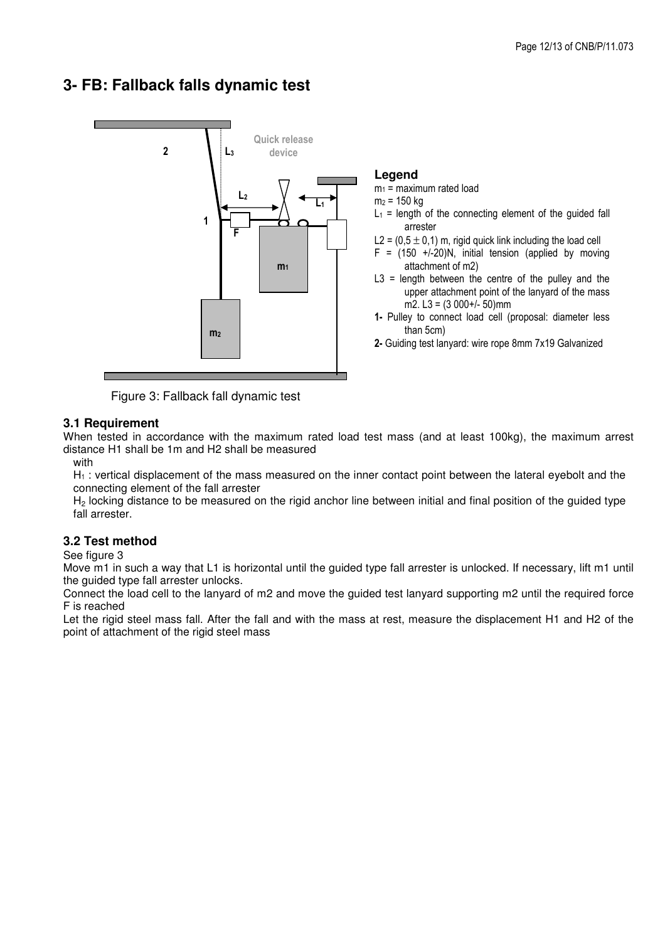# **3- FB: Fallback falls dynamic test**



Figure 3: Fallback fall dynamic test

## **3.1 Requirement**

When tested in accordance with the maximum rated load test mass (and at least 100kg), the maximum arrest distance H1 shall be 1m and H2 shall be measured

with

H<sub>1</sub> : vertical displacement of the mass measured on the inner contact point between the lateral eyebolt and the connecting element of the fall arrester

H<sub>2</sub> locking distance to be measured on the rigid anchor line between initial and final position of the guided type fall arrester.

## **3.2 Test method**

See figure 3

Move m1 in such a way that L1 is horizontal until the guided type fall arrester is unlocked. If necessary, lift m1 until the guided type fall arrester unlocks.

Connect the load cell to the lanyard of m2 and move the guided test lanyard supporting m2 until the required force F is reached

Let the rigid steel mass fall. After the fall and with the mass at rest, measure the displacement H1 and H2 of the point of attachment of the rigid steel mass

## **Legend**

 $m_1$  = maximum rated load

 $m_2$  = 150 kg

- $L_1$  = length of the connecting element of the guided fall arrester
- L2 =  $(0.5 \pm 0.1)$  m, rigid quick link including the load cell
- $F = (150 + (-20)N,$  initial tension (applied by moving attachment of m2)
- $L3$  = length between the centre of the pulley and the upper attachment point of the lanyard of the mass m2.  $L3 = (3000+/-50)$ mm
- 1- Pulley to connect load cell (proposal: diameter less than 5cm)
- 2- Guiding test lanyard: wire rope 8mm 7x19 Galvanized